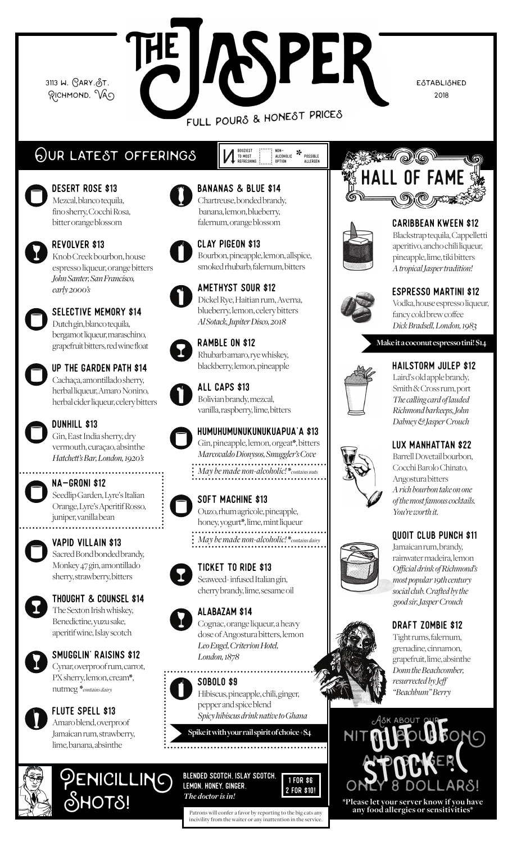3113 W. GARY. ST. RICHMOND, VAO **ISPER** 

FULL POURS & HONEST PRICES

NON-<br>Alcoholic Possible<br>Option Allergen Possible

BOOZIEST<br>To Most<br>Refreshing

**ESTABLISHED** 2018

## Our. latest offerings

Desert Rose \$13 Mezcal, blanco tequila, fino sherry, Cocchi Rosa, bitter orange blossom



Revolver \$13 Knob Creek bourbon, house espresso liqueur, orange bitters *John Santer, San Francisco, early 2000's* 



Selective Memory \$14 Dutch gin, blanco tequila, bergamot liqueur, maraschino, grapefruit bitters, red wine float



Up the garden path \$14 Cachaça, amontillado sherry, herbal liqueur, Amaro Nonino,

herbal cider liqueur, celery bitters



# DUNHILL \$13

Gin, East India sherry, dry vermouth, curaçao, absinthe *Hatchett's Bar, London, 1920's*



#### NA-groni \$12

Seedlip Garden, Lyre's Italian Orange, Lyre's Aperitif Rosso, juniper, vanilla bean ...........



# Vapid Villain \$13

Sacred Bond bonded brandy, Monkey 47 gin, amontillado sherry, strawberry, bitters



Thought & Counsel \$14 The Sexton Irish whiskey, Benedictine, yuzu sake, aperitif wine, Islay scotch

### Smugglin' Raisins \$12

Cynar, overproof rum, carrot, PX sherry, lemon, cream\*, nutmeg \**contains dairy*



### FLUTE SPELL \$13

Amaro blend, overproof Jamaican rum, strawberry, lime, banana, absinthe

 $\mathcal{\mathcal{S}}$ HOT $\mathcal{\mathcal{S}}$ !

PENICILLING



#### Bananas & Blue \$14 Chartreuse, bonded brandy, banana, lemon, blueberry, falernum, orange blossom



Clay Pigeon \$13 Bourbon, pineapple, lemon, allspice, smoked rhubarb, falernum, bitters



Amethyst Sour \$12 Dickel Rye, Haitian rum, Averna, blueberry, lemon, celery bitters *Al Sotack, Jupiter Disco, 2018* 



Ramble on \$12 Rhubarb amaro, rye whiskey, blackberry, lemon, pineapple



Bolivian brandy, mezcal, vanilla, raspberry, lime, bitters



HUMUHUMUNUKUNUKUAPUA'A \$13 Gin, pineapple, lemon, orgeat\*, bitters *Marcovaldo Dionysos, Smuggler's Cove* .............................. *May be made non-alcoholic!* \**contains nuts*



Soft machine \$13





Ticket to Ride \$13 Seaweed- infused Italian gin,



### Alabazam \$14



Cognac, orange liqueur, a heavy dose of Angostura bitters, lemon *Leo Engel, Criterion Hotel, London, 1878*

#### Sobolo \$9



*Spicy hibiscus drink native to Ghana* **Spike it with your rail spirit of choice +\$4**

Blended scotch, islay scotch, lemon, honey, ginger. *The doctor is in!*



Patrons will confer a favor by reporting to the big cats any incivility from the waiter or any inattention in the service.





#### Caribbean Kween \$12

Blackstrap tequila, Cappelletti aperitivo, ancho chili liqueur, pineapple, lime, tiki bitters *A tropical Jasper tradition!*



Espresso Martini \$12

Vodka, house espresso liqueur, fancy cold brew coffee *Dick Bradsell, London, 1983*

**Make it a coconut espresso tini! \$14**



Hailstorm Julep \$12 Laird's old apple brandy, Smith & Cross rum, port *The calling card of lauded Richmond barkeeps, John* 



Lux Manhattan \$22

*Dabney & Jasper Crouch*

Barrell Dovetail bourbon, Cocchi Barolo Chinato, Angostura bitters *A rich bourbon take on one of the most famous cocktails. You're worth it.*

#### Quoit Club Punch \$11

Jamaican rum, brandy, rainwater madeira, lemon *Official drink of Richmond's most popular 19th century social club. Crafted by the good sir, Jasper Crouch*

#### Draft Zombie \$12

Tight rums, falernum, grenadine, cinnamon, grapefruit, lime, absinthe *Donn the Beachcomber, resurrected by Jeff "Beachbum" Berry*